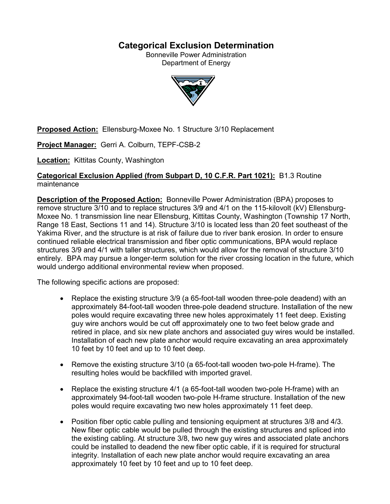# **Categorical Exclusion Determination**

Bonneville Power Administration Department of Energy



**Proposed Action:** Ellensburg-Moxee No. 1 Structure 3/10 Replacement

**Project Manager:** Gerri A. Colburn, TEPF-CSB-2

**Location:** Kittitas County, Washington

## **Categorical Exclusion Applied (from Subpart D, 10 C.F.R. Part 1021):** B1.3 Routine maintenance

**Description of the Proposed Action:** Bonneville Power Administration (BPA) proposes to remove structure 3/10 and to replace structures 3/9 and 4/1 on the 115-kilovolt (kV) Ellensburg-Moxee No. 1 transmission line near Ellensburg, Kittitas County, Washington (Township 17 North, Range 18 East, Sections 11 and 14). Structure 3/10 is located less than 20 feet southeast of the Yakima River, and the structure is at risk of failure due to river bank erosion. In order to ensure continued reliable electrical transmission and fiber optic communications, BPA would replace structures 3/9 and 4/1 with taller structures, which would allow for the removal of structure 3/10 entirely. BPA may pursue a longer-term solution for the river crossing location in the future, which would undergo additional environmental review when proposed.

The following specific actions are proposed:

- Replace the existing structure 3/9 (a 65-foot-tall wooden three-pole deadend) with an approximately 84-foot-tall wooden three-pole deadend structure. Installation of the new poles would require excavating three new holes approximately 11 feet deep. Existing guy wire anchors would be cut off approximately one to two feet below grade and retired in place, and six new plate anchors and associated guy wires would be installed. Installation of each new plate anchor would require excavating an area approximately 10 feet by 10 feet and up to 10 feet deep.
- Remove the existing structure 3/10 (a 65-foot-tall wooden two-pole H-frame). The resulting holes would be backfilled with imported gravel.
- Replace the existing structure 4/1 (a 65-foot-tall wooden two-pole H-frame) with an approximately 94-foot-tall wooden two-pole H-frame structure. Installation of the new poles would require excavating two new holes approximately 11 feet deep.
- Position fiber optic cable pulling and tensioning equipment at structures 3/8 and 4/3. New fiber optic cable would be pulled through the existing structures and spliced into the existing cabling. At structure 3/8, two new guy wires and associated plate anchors could be installed to deadend the new fiber optic cable, if it is required for structural integrity. Installation of each new plate anchor would require excavating an area approximately 10 feet by 10 feet and up to 10 feet deep.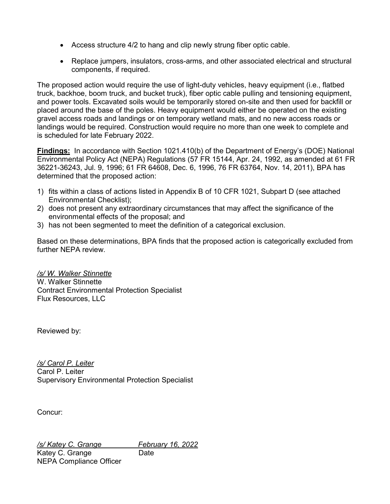- Access structure 4/2 to hang and clip newly strung fiber optic cable.
- Replace jumpers, insulators, cross-arms, and other associated electrical and structural components, if required.

The proposed action would require the use of light-duty vehicles, heavy equipment (i.e., flatbed truck, backhoe, boom truck, and bucket truck), fiber optic cable pulling and tensioning equipment, and power tools. Excavated soils would be temporarily stored on-site and then used for backfill or placed around the base of the poles. Heavy equipment would either be operated on the existing gravel access roads and landings or on temporary wetland mats, and no new access roads or landings would be required. Construction would require no more than one week to complete and is scheduled for late February 2022.

**Findings:** In accordance with Section 1021.410(b) of the Department of Energy's (DOE) National Environmental Policy Act (NEPA) Regulations (57 FR 15144, Apr. 24, 1992, as amended at 61 FR 36221-36243, Jul. 9, 1996; 61 FR 64608, Dec. 6, 1996, 76 FR 63764, Nov. 14, 2011), BPA has determined that the proposed action:

- 1) fits within a class of actions listed in Appendix B of 10 CFR 1021, Subpart D (see attached Environmental Checklist);
- 2) does not present any extraordinary circumstances that may affect the significance of the environmental effects of the proposal; and
- 3) has not been segmented to meet the definition of a categorical exclusion.

Based on these determinations, BPA finds that the proposed action is categorically excluded from further NEPA review.

# */s/ W. Walker Stinnette* W. Walker Stinnette Contract Environmental Protection Specialist Flux Resources, LLC

Reviewed by:

*/s/ Carol P. Leiter* Carol P. Leiter Supervisory Environmental Protection Specialist

Concur:

*/s/ Katey C. Grange February 16, 2022* Katey C. Grange Date NEPA Compliance Officer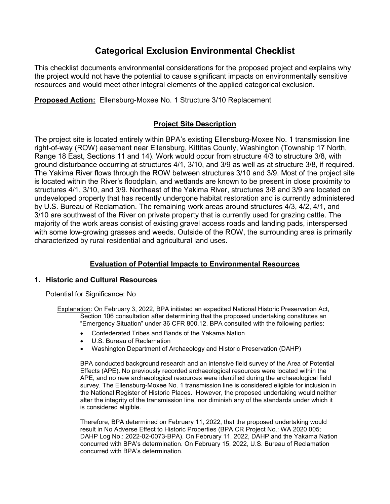# **Categorical Exclusion Environmental Checklist**

This checklist documents environmental considerations for the proposed project and explains why the project would not have the potential to cause significant impacts on environmentally sensitive resources and would meet other integral elements of the applied categorical exclusion.

**Proposed Action:** Ellensburg-Moxee No. 1 Structure 3/10 Replacement

## **Project Site Description**

The project site is located entirely within BPA's existing Ellensburg-Moxee No. 1 transmission line right-of-way (ROW) easement near Ellensburg, Kittitas County, Washington (Township 17 North, Range 18 East, Sections 11 and 14). Work would occur from structure 4/3 to structure 3/8, with ground disturbance occurring at structures 4/1, 3/10, and 3/9 as well as at structure 3/8, if required. The Yakima River flows through the ROW between structures 3/10 and 3/9. Most of the project site is located within the River's floodplain, and wetlands are known to be present in close proximity to structures 4/1, 3/10, and 3/9. Northeast of the Yakima River, structures 3/8 and 3/9 are located on undeveloped property that has recently undergone habitat restoration and is currently administered by U.S. Bureau of Reclamation. The remaining work areas around structures 4/3, 4/2, 4/1, and 3/10 are southwest of the River on private property that is currently used for grazing cattle. The majority of the work areas consist of existing gravel access roads and landing pads, interspersed with some low-growing grasses and weeds. Outside of the ROW, the surrounding area is primarily characterized by rural residential and agricultural land uses.

# **Evaluation of Potential Impacts to Environmental Resources**

## **1. Historic and Cultural Resources**

Potential for Significance: No

Explanation: On February 3, 2022, BPA initiated an expedited National Historic Preservation Act, Section 106 consultation after determining that the proposed undertaking constitutes an "Emergency Situation" under 36 CFR 800.12. BPA consulted with the following parties:

- Confederated Tribes and Bands of the Yakama Nation
- U.S. Bureau of Reclamation
- Washington Department of Archaeology and Historic Preservation (DAHP)

BPA conducted background research and an intensive field survey of the Area of Potential Effects (APE). No previously recorded archaeological resources were located within the APE, and no new archaeological resources were identified during the archaeological field survey. The Ellensburg-Moxee No. 1 transmission line is considered eligible for inclusion in the National Register of Historic Places. However, the proposed undertaking would neither alter the integrity of the transmission line, nor diminish any of the standards under which it is considered eligible.

Therefore, BPA determined on February 11, 2022, that the proposed undertaking would result in No Adverse Effect to Historic Properties (BPA CR Project No.: WA 2020 005; DAHP Log No.: 2022-02-0073-BPA). On February 11, 2022, DAHP and the Yakama Nation concurred with BPA's determination. On February 15, 2022, U.S. Bureau of Reclamation concurred with BPA's determination.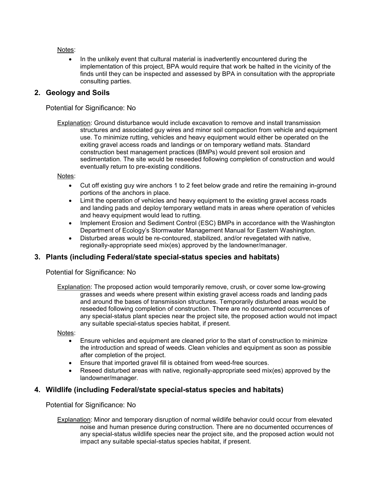Notes:

• In the unlikely event that cultural material is inadvertently encountered during the implementation of this project, BPA would require that work be halted in the vicinity of the finds until they can be inspected and assessed by BPA in consultation with the appropriate consulting parties.

### **2. Geology and Soils**

Potential for Significance: No

Explanation: Ground disturbance would include excavation to remove and install transmission structures and associated guy wires and minor soil compaction from vehicle and equipment use. To minimize rutting, vehicles and heavy equipment would either be operated on the exiting gravel access roads and landings or on temporary wetland mats. Standard construction best management practices (BMPs) would prevent soil erosion and sedimentation. The site would be reseeded following completion of construction and would eventually return to pre-existing conditions.

Notes:

- Cut off existing guy wire anchors 1 to 2 feet below grade and retire the remaining in-ground portions of the anchors in place.
- Limit the operation of vehicles and heavy equipment to the existing gravel access roads and landing pads and deploy temporary wetland mats in areas where operation of vehicles and heavy equipment would lead to rutting.
- Implement Erosion and Sediment Control (ESC) BMPs in accordance with the Washington Department of Ecology's Stormwater Management Manual for Eastern Washington.
- Disturbed areas would be re-contoured, stabilized, and/or revegetated with native, regionally-appropriate seed mix(es) approved by the landowner/manager.

## **3. Plants (including Federal/state special-status species and habitats)**

Potential for Significance: No

Explanation: The proposed action would temporarily remove, crush, or cover some low-growing grasses and weeds where present within existing gravel access roads and landing pads and around the bases of transmission structures. Temporarily disturbed areas would be reseeded following completion of construction. There are no documented occurrences of any special-status plant species near the project site, the proposed action would not impact any suitable special-status species habitat, if present.

Notes:

- Ensure vehicles and equipment are cleaned prior to the start of construction to minimize the introduction and spread of weeds. Clean vehicles and equipment as soon as possible after completion of the project.
- Ensure that imported gravel fill is obtained from weed-free sources.
- Reseed disturbed areas with native, regionally-appropriate seed mix(es) approved by the landowner/manager.

#### **4. Wildlife (including Federal/state special-status species and habitats)**

Potential for Significance: No

Explanation: Minor and temporary disruption of normal wildlife behavior could occur from elevated noise and human presence during construction. There are no documented occurrences of any special-status wildlife species near the project site, and the proposed action would not impact any suitable special-status species habitat, if present.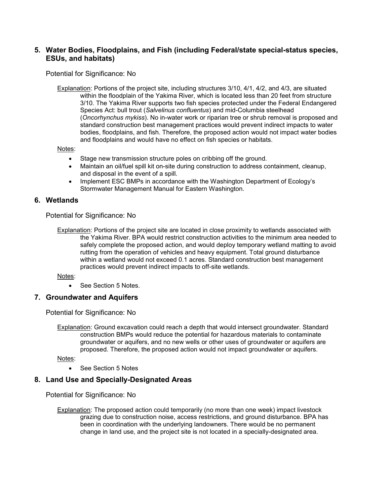## **5. Water Bodies, Floodplains, and Fish (including Federal/state special-status species, ESUs, and habitats)**

Potential for Significance: No

Explanation: Portions of the project site, including structures 3/10, 4/1, 4/2, and 4/3, are situated within the floodplain of the Yakima River, which is located less than 20 feet from structure 3/10. The Yakima River supports two fish species protected under the Federal Endangered Species Act: bull trout (*Salvelinus confluentus*) and mid-Columbia steelhead (*Oncorhynchus mykiss*). No in-water work or riparian tree or shrub removal is proposed and standard construction best management practices would prevent indirect impacts to water bodies, floodplains, and fish. Therefore, the proposed action would not impact water bodies and floodplains and would have no effect on fish species or habitats.

Notes:

- Stage new transmission structure poles on cribbing off the ground.
- Maintain an oil/fuel spill kit on-site during construction to address containment, cleanup, and disposal in the event of a spill.
- Implement ESC BMPs in accordance with the Washington Department of Ecology's Stormwater Management Manual for Eastern Washington.

#### **6. Wetlands**

Potential for Significance: No

Notes:

• See Section 5 Notes.

#### **7. Groundwater and Aquifers**

Potential for Significance: No

Explanation: Ground excavation could reach a depth that would intersect groundwater. Standard construction BMPs would reduce the potential for hazardous materials to contaminate groundwater or aquifers, and no new wells or other uses of groundwater or aquifers are proposed. Therefore, the proposed action would not impact groundwater or aquifers.

Notes:

• See Section 5 Notes

#### **8. Land Use and Specially-Designated Areas**

Potential for Significance: No

Explanation: Portions of the project site are located in close proximity to wetlands associated with the Yakima River. BPA would restrict construction activities to the minimum area needed to safely complete the proposed action, and would deploy temporary wetland matting to avoid rutting from the operation of vehicles and heavy equipment. Total ground disturbance within a wetland would not exceed 0.1 acres. Standard construction best management practices would prevent indirect impacts to off-site wetlands.

Explanation: The proposed action could temporarily (no more than one week) impact livestock grazing due to construction noise, access restrictions, and ground disturbance. BPA has been in coordination with the underlying landowners. There would be no permanent change in land use, and the project site is not located in a specially-designated area.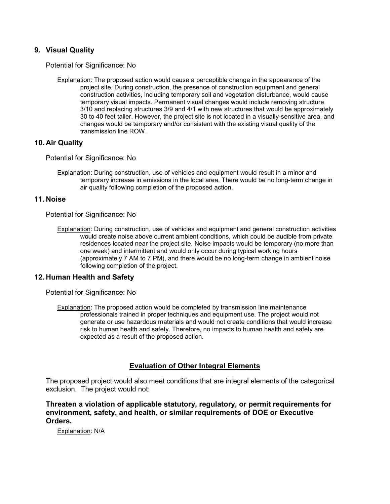### **9. Visual Quality**

Potential for Significance: No

Explanation: The proposed action would cause a perceptible change in the appearance of the project site. During construction, the presence of construction equipment and general construction activities, including temporary soil and vegetation disturbance, would cause temporary visual impacts. Permanent visual changes would include removing structure 3/10 and replacing structures 3/9 and 4/1 with new structures that would be approximately 30 to 40 feet taller. However, the project site is not located in a visually-sensitive area, and changes would be temporary and/or consistent with the existing visual quality of the transmission line ROW.

#### **10. Air Quality**

Potential for Significance: No

Explanation: During construction, use of vehicles and equipment would result in a minor and temporary increase in emissions in the local area. There would be no long-term change in air quality following completion of the proposed action.

#### **11. Noise**

Potential for Significance: No

Explanation: During construction, use of vehicles and equipment and general construction activities would create noise above current ambient conditions, which could be audible from private residences located near the project site. Noise impacts would be temporary (no more than one week) and intermittent and would only occur during typical working hours (approximately 7 AM to 7 PM), and there would be no long-term change in ambient noise following completion of the project.

#### **12. Human Health and Safety**

Potential for Significance: No

Explanation: The proposed action would be completed by transmission line maintenance professionals trained in proper techniques and equipment use. The project would not generate or use hazardous materials and would not create conditions that would increase risk to human health and safety. Therefore, no impacts to human health and safety are expected as a result of the proposed action.

## **Evaluation of Other Integral Elements**

The proposed project would also meet conditions that are integral elements of the categorical exclusion. The project would not:

**Threaten a violation of applicable statutory, regulatory, or permit requirements for environment, safety, and health, or similar requirements of DOE or Executive Orders.**

Explanation: N/A